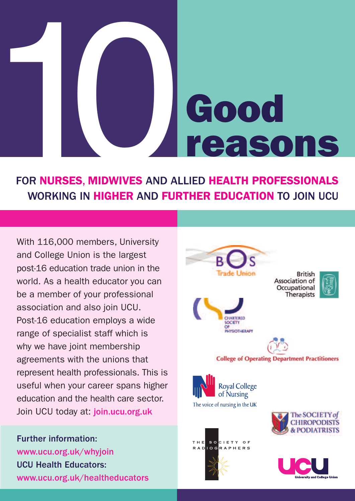# FOR NURSES, MIDWIVES AND AL WORKING IN HIGHER AND FUR **Good reasons**

### FOR **NURSES**, **MIDWIVES** AND ALLIED **HEALTH PROFESSIONALS** WORKING IN **HIGHER** AND **FURTHER EDUCATION** TO JOIN UCU

With 116,000 members, University and College Union is the largest post-16 education trade union in the world. As a health educator you can be a member of your professional association and also join UCU. Post-16 education employs a wide range of specialist staff which is why we have joint membership agreements with the unions that represent health professionals. This is useful when your career spans higher education and the health care sector. Join UCU today at: join.ucu.org.uk

Further information: www.ucu.org.uk/whyjoin UCU Health Educators: www.ucu.org.uk/healtheducators

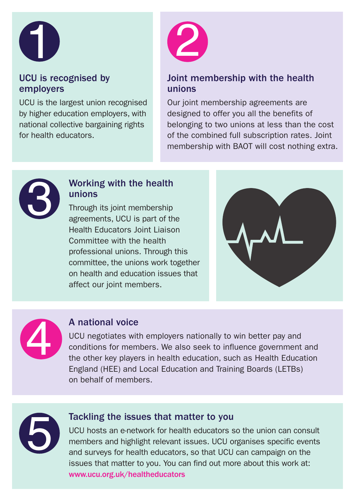

#### UCU is recognised by employers

UCU is the largest union recognised by higher education employers, with national collective bargaining rights for health educators.



#### Joint membership with the health unions

Our joint membership agreements are designed to offer you all the benefits of belonging to two unions at less than the cost of the combined full subscription rates. Joint membership with BAOT will cost nothing extra.



#### Working with the health unions

Through its joint membership agreements, UCU is part of the Health Educators Joint Liaison Committee with the health professional unions. Through this committee, the unions work together on health and education issues that affect our joint members.





#### A national voice

UCU negotiates with employers nationally to win better pay and conditions for members. We also seek to influence government and the other key players in health education, such as Health Education England (HEE) and Local Education and Training Boards (LETBs) on behalf of members.



Tackling the issues that matter to you<br>UCU hosts an e-network for health educators s<br>members and highlight relevant issues. UCU or<br>and surveys for health educators, so that UCU<br>issues that matter to you. You can find out m UCU hosts an e-network for health educators so the union can consult members and highlight relevant issues. UCU organises specific events and surveys for health educators, so that UCU can campaign on the issues that matter to you. You can find out more about this work at: www.ucu.org.uk/healtheducators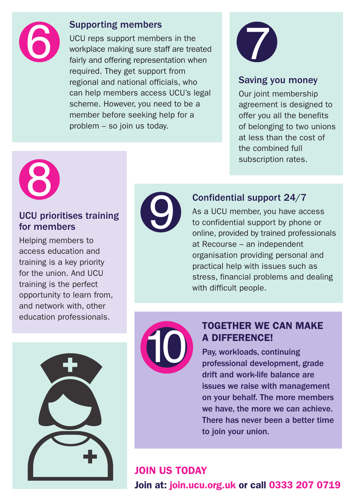

#### Supporting members

UCU reps support members in the<br>workplace making sure staff are treated<br>fairly and offering representation when<br>required. They get support from UCU reps support members in the workplace making sure staff are treated fairly and offering representation when required. They get support from regional and national officials, who can help members access UCU's legal scheme. However, you need to be a member before seeking help for a problem – so join us today.



#### Saving you money

Our joint membership agreement is designed to offer you all the benefits of belonging to two unions at less than the cost of the combined full subscription rates.



## CU prioritises training<br>
or members<br>
Sloing members to UCU prioritises training for members

Helping members to access education and training is a key priority for the union. And UCU training is the perfect opportunity to learn from, and network with, other education professionals.



#### Confidential support 24/7

As a UCU member, you have access to confidential support by phone or online, provided by trained professionals at Recourse – an independent organisation providing personal and practical help with issues such as stress, financial problems and dealing with difficult people.





#### **TOGETHER WE CAN MAKE A DIFFERENCE!**

Pay, workloads, continuing professional development, grade drift and work-life balance are issues we raise with management on your behalf. The more members we have, the more we can achieve. There has never been a better time to join your union.

#### **JOIN US TODAY Join at: join.ucu.org.uk or call 0333 207 0719**